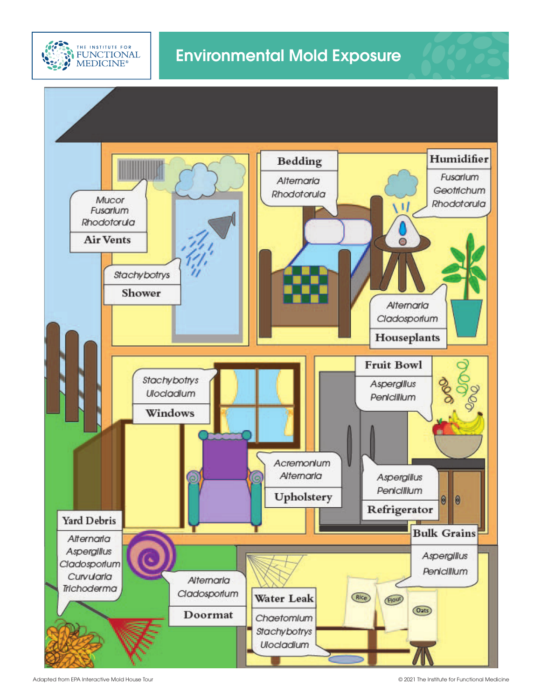



Adapted from EPA Interactive Mold House Tour

© 2021 The Institute for Functional Medicine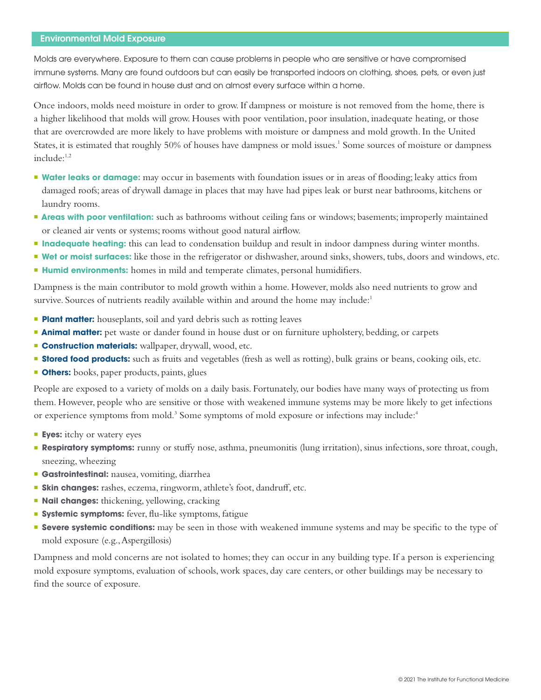## Environmental Mold Exposure

Molds are everywhere. Exposure to them can cause problems in people who are sensitive or have compromised immune systems. Many are found outdoors but can easily be transported indoors on clothing, shoes, pets, or even just airflow. Molds can be found in house dust and on almost every surface within a home.

Once indoors, molds need moisture in order to grow. If dampness or moisture is not removed from the home, there is a higher likelihood that molds will grow. Houses with poor ventilation, poor insulation, inadequate heating, or those that are overcrowded are more likely to have problems with moisture or dampness and mold growth. In the United States, it is estimated that roughly 50% of houses have dampness or mold issues.<sup>1</sup> Some sources of moisture or dampness  $include:$ <sup>1,2</sup>

- **Water leaks or damage:** may occur in basements with foundation issues or in areas of flooding; leaky attics from damaged roofs; areas of drywall damage in places that may have had pipes leak or burst near bathrooms, kitchens or laundry rooms.
- **Areas with poor ventilation:** such as bathrooms without ceiling fans or windows; basements; improperly maintained or cleaned air vents or systems; rooms without good natural airflow.
- **Inadequate heating:** this can lead to condensation buildup and result in indoor dampness during winter months.
- **Wet or moist surfaces:** like those in the refrigerator or dishwasher, around sinks, showers, tubs, doors and windows, etc.
- **Humid environments:** homes in mild and temperate climates, personal humidifiers.

Dampness is the main contributor to mold growth within a home. However, molds also need nutrients to grow and survive. Sources of nutrients readily available within and around the home may include:<sup>1</sup>

- **Plant matter:** houseplants, soil and yard debris such as rotting leaves
- **Animal matter:** pet waste or dander found in house dust or on furniture upholstery, bedding, or carpets
- **Construction materials:** wallpaper, drywall, wood, etc.
- **Stored food products:** such as fruits and vegetables (fresh as well as rotting), bulk grains or beans, cooking oils, etc.
- **Others:** books, paper products, paints, glues

People are exposed to a variety of molds on a daily basis. Fortunately, our bodies have many ways of protecting us from them. However, people who are sensitive or those with weakened immune systems may be more likely to get infections or experience symptoms from mold.<sup>3</sup> Some symptoms of mold exposure or infections may include:<sup>4</sup>

- **Eyes:** itchy or watery eyes
- **Respiratory symptoms:** runny or stuffy nose, asthma, pneumonitis (lung irritation), sinus infections, sore throat, cough, sneezing, wheezing
- **Gastrointestinal:** nausea, vomiting, diarrhea
- **Skin changes:** rashes, eczema, ringworm, athlete's foot, dandruff, etc.
- **Nail changes:** thickening, yellowing, cracking
- **Systemic symptoms:** fever, flu-like symptoms, fatigue
- **Severe systemic conditions:** may be seen in those with weakened immune systems and may be specific to the type of mold exposure (e.g., Aspergillosis)

Dampness and mold concerns are not isolated to homes; they can occur in any building type. If a person is experiencing mold exposure symptoms, evaluation of schools, work spaces, day care centers, or other buildings may be necessary to find the source of exposure.